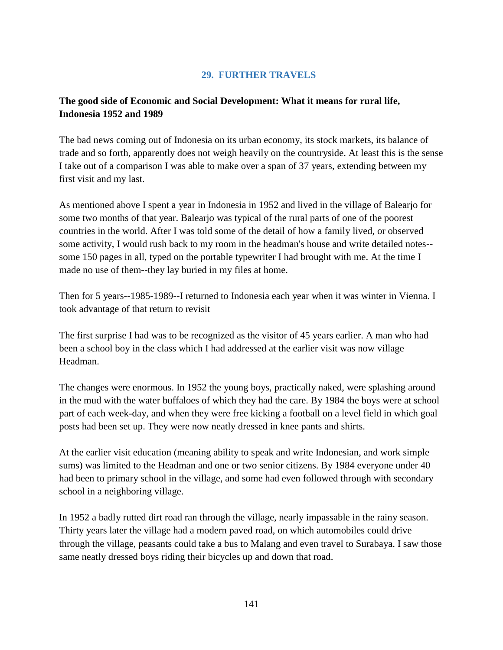# **29. FURTHER TRAVELS**

# **The good side of Economic and Social Development: What it means for rural life, Indonesia 1952 and 1989**

The bad news coming out of Indonesia on its urban economy, its stock markets, its balance of trade and so forth, apparently does not weigh heavily on the countryside. At least this is the sense I take out of a comparison I was able to make over a span of 37 years, extending between my first visit and my last.

As mentioned above I spent a year in Indonesia in 1952 and lived in the village of Balearjo for some two months of that year. Balearjo was typical of the rural parts of one of the poorest countries in the world. After I was told some of the detail of how a family lived, or observed some activity, I would rush back to my room in the headman's house and write detailed notes- some 150 pages in all, typed on the portable typewriter I had brought with me. At the time I made no use of them--they lay buried in my files at home.

Then for 5 years--1985-1989--I returned to Indonesia each year when it was winter in Vienna. I took advantage of that return to revisit

The first surprise I had was to be recognized as the visitor of 45 years earlier. A man who had been a school boy in the class which I had addressed at the earlier visit was now village Headman.

The changes were enormous. In 1952 the young boys, practically naked, were splashing around in the mud with the water buffaloes of which they had the care. By 1984 the boys were at school part of each week-day, and when they were free kicking a football on a level field in which goal posts had been set up. They were now neatly dressed in knee pants and shirts.

At the earlier visit education (meaning ability to speak and write Indonesian, and work simple sums) was limited to the Headman and one or two senior citizens. By 1984 everyone under 40 had been to primary school in the village, and some had even followed through with secondary school in a neighboring village.

In 1952 a badly rutted dirt road ran through the village, nearly impassable in the rainy season. Thirty years later the village had a modern paved road, on which automobiles could drive through the village, peasants could take a bus to Malang and even travel to Surabaya. I saw those same neatly dressed boys riding their bicycles up and down that road.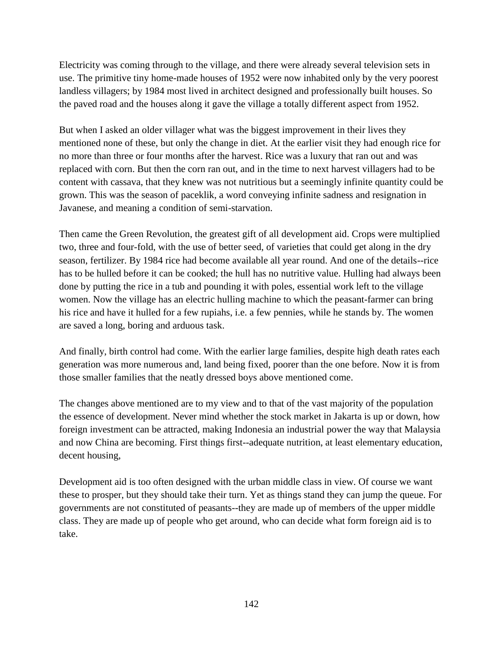Electricity was coming through to the village, and there were already several television sets in use. The primitive tiny home-made houses of 1952 were now inhabited only by the very poorest landless villagers; by 1984 most lived in architect designed and professionally built houses. So the paved road and the houses along it gave the village a totally different aspect from 1952.

But when I asked an older villager what was the biggest improvement in their lives they mentioned none of these, but only the change in diet. At the earlier visit they had enough rice for no more than three or four months after the harvest. Rice was a luxury that ran out and was replaced with corn. But then the corn ran out, and in the time to next harvest villagers had to be content with cassava, that they knew was not nutritious but a seemingly infinite quantity could be grown. This was the season of paceklik, a word conveying infinite sadness and resignation in Javanese, and meaning a condition of semi-starvation.

Then came the Green Revolution, the greatest gift of all development aid. Crops were multiplied two, three and four-fold, with the use of better seed, of varieties that could get along in the dry season, fertilizer. By 1984 rice had become available all year round. And one of the details--rice has to be hulled before it can be cooked; the hull has no nutritive value. Hulling had always been done by putting the rice in a tub and pounding it with poles, essential work left to the village women. Now the village has an electric hulling machine to which the peasant-farmer can bring his rice and have it hulled for a few rupiahs, i.e. a few pennies, while he stands by. The women are saved a long, boring and arduous task.

And finally, birth control had come. With the earlier large families, despite high death rates each generation was more numerous and, land being fixed, poorer than the one before. Now it is from those smaller families that the neatly dressed boys above mentioned come.

The changes above mentioned are to my view and to that of the vast majority of the population the essence of development. Never mind whether the stock market in Jakarta is up or down, how foreign investment can be attracted, making Indonesia an industrial power the way that Malaysia and now China are becoming. First things first--adequate nutrition, at least elementary education, decent housing,

Development aid is too often designed with the urban middle class in view. Of course we want these to prosper, but they should take their turn. Yet as things stand they can jump the queue. For governments are not constituted of peasants--they are made up of members of the upper middle class. They are made up of people who get around, who can decide what form foreign aid is to take.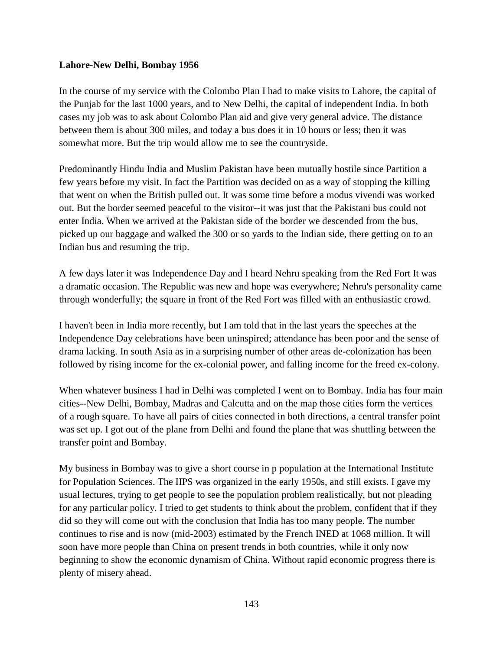#### **Lahore-New Delhi, Bombay 1956**

In the course of my service with the Colombo Plan I had to make visits to Lahore, the capital of the Punjab for the last 1000 years, and to New Delhi, the capital of independent India. In both cases my job was to ask about Colombo Plan aid and give very general advice. The distance between them is about 300 miles, and today a bus does it in 10 hours or less; then it was somewhat more. But the trip would allow me to see the countryside.

Predominantly Hindu India and Muslim Pakistan have been mutually hostile since Partition a few years before my visit. In fact the Partition was decided on as a way of stopping the killing that went on when the British pulled out. It was some time before a modus vivendi was worked out. But the border seemed peaceful to the visitor--it was just that the Pakistani bus could not enter India. When we arrived at the Pakistan side of the border we descended from the bus, picked up our baggage and walked the 300 or so yards to the Indian side, there getting on to an Indian bus and resuming the trip.

A few days later it was Independence Day and I heard Nehru speaking from the Red Fort It was a dramatic occasion. The Republic was new and hope was everywhere; Nehru's personality came through wonderfully; the square in front of the Red Fort was filled with an enthusiastic crowd.

I haven't been in India more recently, but I am told that in the last years the speeches at the Independence Day celebrations have been uninspired; attendance has been poor and the sense of drama lacking. In south Asia as in a surprising number of other areas de-colonization has been followed by rising income for the ex-colonial power, and falling income for the freed ex-colony.

When whatever business I had in Delhi was completed I went on to Bombay. India has four main cities--New Delhi, Bombay, Madras and Calcutta and on the map those cities form the vertices of a rough square. To have all pairs of cities connected in both directions, a central transfer point was set up. I got out of the plane from Delhi and found the plane that was shuttling between the transfer point and Bombay.

My business in Bombay was to give a short course in p population at the International Institute for Population Sciences. The IIPS was organized in the early 1950s, and still exists. I gave my usual lectures, trying to get people to see the population problem realistically, but not pleading for any particular policy. I tried to get students to think about the problem, confident that if they did so they will come out with the conclusion that India has too many people. The number continues to rise and is now (mid-2003) estimated by the French INED at 1068 million. It will soon have more people than China on present trends in both countries, while it only now beginning to show the economic dynamism of China. Without rapid economic progress there is plenty of misery ahead.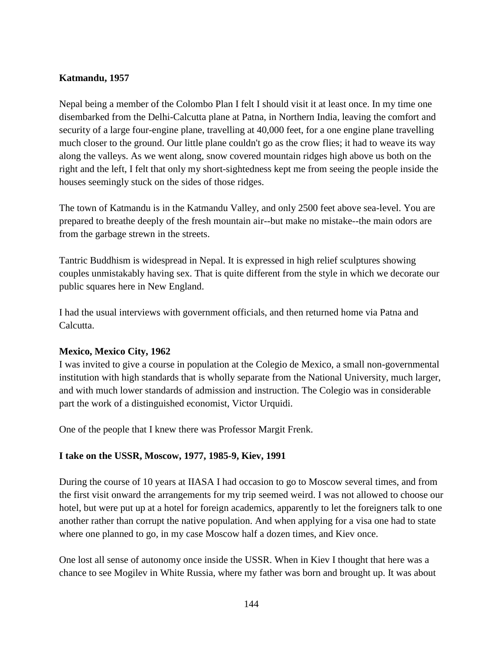#### **Katmandu, 1957**

Nepal being a member of the Colombo Plan I felt I should visit it at least once. In my time one disembarked from the Delhi-Calcutta plane at Patna, in Northern India, leaving the comfort and security of a large four-engine plane, travelling at 40,000 feet, for a one engine plane travelling much closer to the ground. Our little plane couldn't go as the crow flies; it had to weave its way along the valleys. As we went along, snow covered mountain ridges high above us both on the right and the left, I felt that only my short-sightedness kept me from seeing the people inside the houses seemingly stuck on the sides of those ridges.

The town of Katmandu is in the Katmandu Valley, and only 2500 feet above sea-level. You are prepared to breathe deeply of the fresh mountain air--but make no mistake--the main odors are from the garbage strewn in the streets.

Tantric Buddhism is widespread in Nepal. It is expressed in high relief sculptures showing couples unmistakably having sex. That is quite different from the style in which we decorate our public squares here in New England.

I had the usual interviews with government officials, and then returned home via Patna and Calcutta.

## **Mexico, Mexico City, 1962**

I was invited to give a course in population at the Colegio de Mexico, a small non-governmental institution with high standards that is wholly separate from the National University, much larger, and with much lower standards of admission and instruction. The Colegio was in considerable part the work of a distinguished economist, Victor Urquidi.

One of the people that I knew there was Professor Margit Frenk.

## **I take on the USSR, Moscow, 1977, 1985-9, Kiev, 1991**

During the course of 10 years at IIASA I had occasion to go to Moscow several times, and from the first visit onward the arrangements for my trip seemed weird. I was not allowed to choose our hotel, but were put up at a hotel for foreign academics, apparently to let the foreigners talk to one another rather than corrupt the native population. And when applying for a visa one had to state where one planned to go, in my case Moscow half a dozen times, and Kiev once.

One lost all sense of autonomy once inside the USSR. When in Kiev I thought that here was a chance to see Mogilev in White Russia, where my father was born and brought up. It was about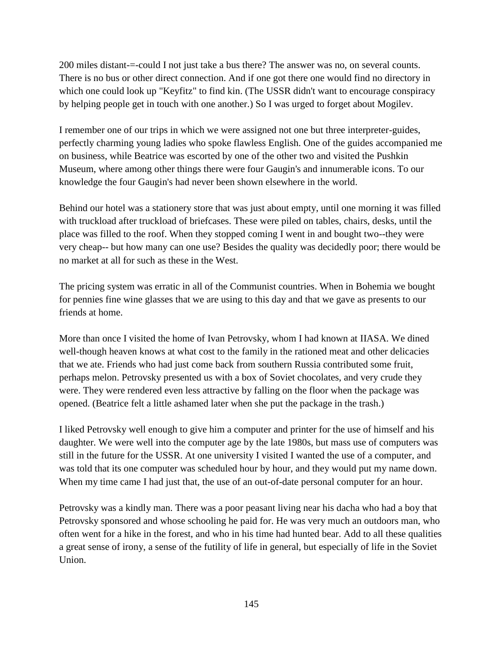200 miles distant-=-could I not just take a bus there? The answer was no, on several counts. There is no bus or other direct connection. And if one got there one would find no directory in which one could look up "Keyfitz" to find kin. (The USSR didn't want to encourage conspiracy by helping people get in touch with one another.) So I was urged to forget about Mogilev.

I remember one of our trips in which we were assigned not one but three interpreter-guides, perfectly charming young ladies who spoke flawless English. One of the guides accompanied me on business, while Beatrice was escorted by one of the other two and visited the Pushkin Museum, where among other things there were four Gaugin's and innumerable icons. To our knowledge the four Gaugin's had never been shown elsewhere in the world.

Behind our hotel was a stationery store that was just about empty, until one morning it was filled with truckload after truckload of briefcases. These were piled on tables, chairs, desks, until the place was filled to the roof. When they stopped coming I went in and bought two--they were very cheap-- but how many can one use? Besides the quality was decidedly poor; there would be no market at all for such as these in the West.

The pricing system was erratic in all of the Communist countries. When in Bohemia we bought for pennies fine wine glasses that we are using to this day and that we gave as presents to our friends at home.

More than once I visited the home of Ivan Petrovsky, whom I had known at IIASA. We dined well-though heaven knows at what cost to the family in the rationed meat and other delicacies that we ate. Friends who had just come back from southern Russia contributed some fruit, perhaps melon. Petrovsky presented us with a box of Soviet chocolates, and very crude they were. They were rendered even less attractive by falling on the floor when the package was opened. (Beatrice felt a little ashamed later when she put the package in the trash.)

I liked Petrovsky well enough to give him a computer and printer for the use of himself and his daughter. We were well into the computer age by the late 1980s, but mass use of computers was still in the future for the USSR. At one university I visited I wanted the use of a computer, and was told that its one computer was scheduled hour by hour, and they would put my name down. When my time came I had just that, the use of an out-of-date personal computer for an hour.

Petrovsky was a kindly man. There was a poor peasant living near his dacha who had a boy that Petrovsky sponsored and whose schooling he paid for. He was very much an outdoors man, who often went for a hike in the forest, and who in his time had hunted bear. Add to all these qualities a great sense of irony, a sense of the futility of life in general, but especially of life in the Soviet Union.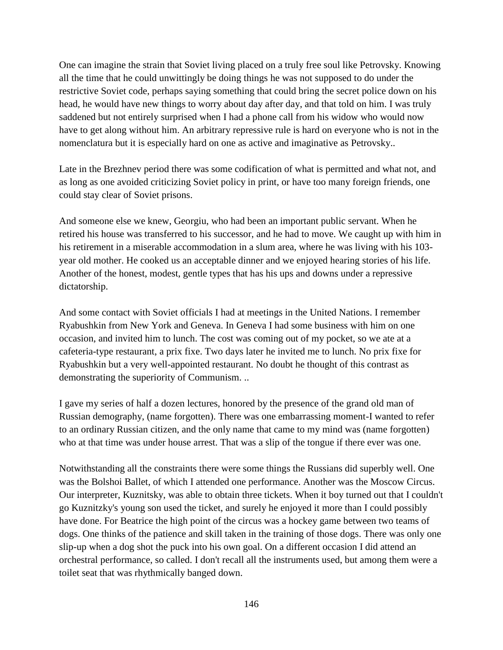One can imagine the strain that Soviet living placed on a truly free soul like Petrovsky. Knowing all the time that he could unwittingly be doing things he was not supposed to do under the restrictive Soviet code, perhaps saying something that could bring the secret police down on his head, he would have new things to worry about day after day, and that told on him. I was truly saddened but not entirely surprised when I had a phone call from his widow who would now have to get along without him. An arbitrary repressive rule is hard on everyone who is not in the nomenclatura but it is especially hard on one as active and imaginative as Petrovsky..

Late in the Brezhnev period there was some codification of what is permitted and what not, and as long as one avoided criticizing Soviet policy in print, or have too many foreign friends, one could stay clear of Soviet prisons.

And someone else we knew, Georgiu, who had been an important public servant. When he retired his house was transferred to his successor, and he had to move. We caught up with him in his retirement in a miserable accommodation in a slum area, where he was living with his 103 year old mother. He cooked us an acceptable dinner and we enjoyed hearing stories of his life. Another of the honest, modest, gentle types that has his ups and downs under a repressive dictatorship.

And some contact with Soviet officials I had at meetings in the United Nations. I remember Ryabushkin from New York and Geneva. In Geneva I had some business with him on one occasion, and invited him to lunch. The cost was coming out of my pocket, so we ate at a cafeteria-type restaurant, a prix fixe. Two days later he invited me to lunch. No prix fixe for Ryabushkin but a very well-appointed restaurant. No doubt he thought of this contrast as demonstrating the superiority of Communism. ..

I gave my series of half a dozen lectures, honored by the presence of the grand old man of Russian demography, (name forgotten). There was one embarrassing moment-I wanted to refer to an ordinary Russian citizen, and the only name that came to my mind was (name forgotten) who at that time was under house arrest. That was a slip of the tongue if there ever was one.

Notwithstanding all the constraints there were some things the Russians did superbly well. One was the Bolshoi Ballet, of which I attended one performance. Another was the Moscow Circus. Our interpreter, Kuznitsky, was able to obtain three tickets. When it boy turned out that I couldn't go Kuznitzky's young son used the ticket, and surely he enjoyed it more than I could possibly have done. For Beatrice the high point of the circus was a hockey game between two teams of dogs. One thinks of the patience and skill taken in the training of those dogs. There was only one slip-up when a dog shot the puck into his own goal. On a different occasion I did attend an orchestral performance, so called. I don't recall all the instruments used, but among them were a toilet seat that was rhythmically banged down.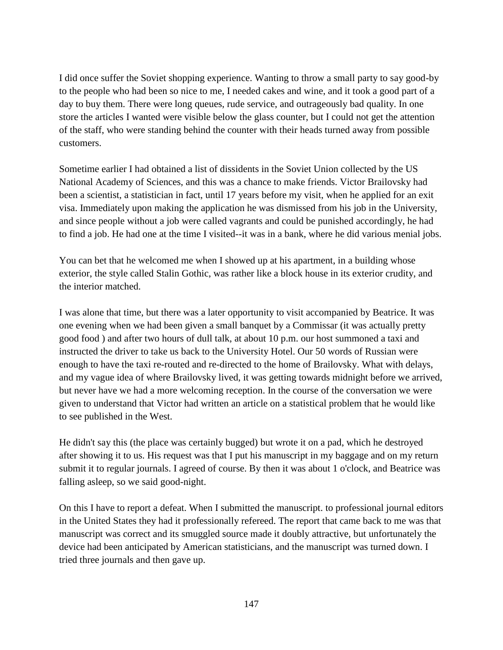I did once suffer the Soviet shopping experience. Wanting to throw a small party to say good-by to the people who had been so nice to me, I needed cakes and wine, and it took a good part of a day to buy them. There were long queues, rude service, and outrageously bad quality. In one store the articles I wanted were visible below the glass counter, but I could not get the attention of the staff, who were standing behind the counter with their heads turned away from possible customers.

Sometime earlier I had obtained a list of dissidents in the Soviet Union collected by the US National Academy of Sciences, and this was a chance to make friends. Victor Brailovsky had been a scientist, a statistician in fact, until 17 years before my visit, when he applied for an exit visa. Immediately upon making the application he was dismissed from his job in the University, and since people without a job were called vagrants and could be punished accordingly, he had to find a job. He had one at the time I visited--it was in a bank, where he did various menial jobs.

You can bet that he welcomed me when I showed up at his apartment, in a building whose exterior, the style called Stalin Gothic, was rather like a block house in its exterior crudity, and the interior matched.

I was alone that time, but there was a later opportunity to visit accompanied by Beatrice. It was one evening when we had been given a small banquet by a Commissar (it was actually pretty good food ) and after two hours of dull talk, at about 10 p.m. our host summoned a taxi and instructed the driver to take us back to the University Hotel. Our 50 words of Russian were enough to have the taxi re-routed and re-directed to the home of Brailovsky. What with delays, and my vague idea of where Brailovsky lived, it was getting towards midnight before we arrived, but never have we had a more welcoming reception. In the course of the conversation we were given to understand that Victor had written an article on a statistical problem that he would like to see published in the West.

He didn't say this (the place was certainly bugged) but wrote it on a pad, which he destroyed after showing it to us. His request was that I put his manuscript in my baggage and on my return submit it to regular journals. I agreed of course. By then it was about 1 o'clock, and Beatrice was falling asleep, so we said good-night.

On this I have to report a defeat. When I submitted the manuscript. to professional journal editors in the United States they had it professionally refereed. The report that came back to me was that manuscript was correct and its smuggled source made it doubly attractive, but unfortunately the device had been anticipated by American statisticians, and the manuscript was turned down. I tried three journals and then gave up.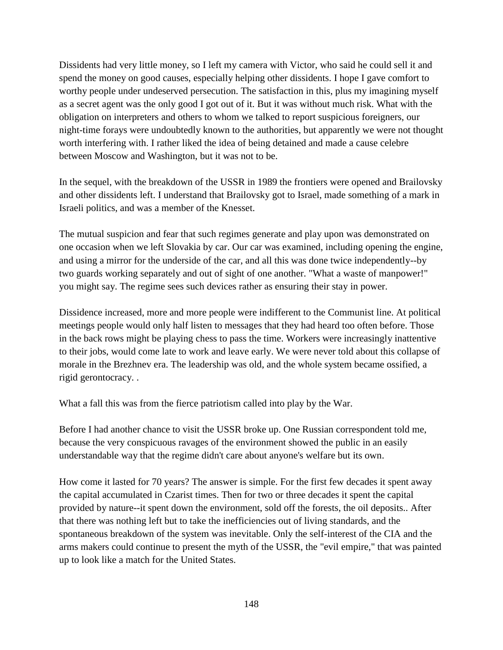Dissidents had very little money, so I left my camera with Victor, who said he could sell it and spend the money on good causes, especially helping other dissidents. I hope I gave comfort to worthy people under undeserved persecution. The satisfaction in this, plus my imagining myself as a secret agent was the only good I got out of it. But it was without much risk. What with the obligation on interpreters and others to whom we talked to report suspicious foreigners, our night-time forays were undoubtedly known to the authorities, but apparently we were not thought worth interfering with. I rather liked the idea of being detained and made a cause celebre between Moscow and Washington, but it was not to be.

In the sequel, with the breakdown of the USSR in 1989 the frontiers were opened and Brailovsky and other dissidents left. I understand that Brailovsky got to Israel, made something of a mark in Israeli politics, and was a member of the Knesset.

The mutual suspicion and fear that such regimes generate and play upon was demonstrated on one occasion when we left Slovakia by car. Our car was examined, including opening the engine, and using a mirror for the underside of the car, and all this was done twice independently--by two guards working separately and out of sight of one another. "What a waste of manpower!" you might say. The regime sees such devices rather as ensuring their stay in power.

Dissidence increased, more and more people were indifferent to the Communist line. At political meetings people would only half listen to messages that they had heard too often before. Those in the back rows might be playing chess to pass the time. Workers were increasingly inattentive to their jobs, would come late to work and leave early. We were never told about this collapse of morale in the Brezhnev era. The leadership was old, and the whole system became ossified, a rigid gerontocracy. .

What a fall this was from the fierce patriotism called into play by the War.

Before I had another chance to visit the USSR broke up. One Russian correspondent told me, because the very conspicuous ravages of the environment showed the public in an easily understandable way that the regime didn't care about anyone's welfare but its own.

How come it lasted for 70 years? The answer is simple. For the first few decades it spent away the capital accumulated in Czarist times. Then for two or three decades it spent the capital provided by nature--it spent down the environment, sold off the forests, the oil deposits.. After that there was nothing left but to take the inefficiencies out of living standards, and the spontaneous breakdown of the system was inevitable. Only the self-interest of the CIA and the arms makers could continue to present the myth of the USSR, the "evil empire," that was painted up to look like a match for the United States.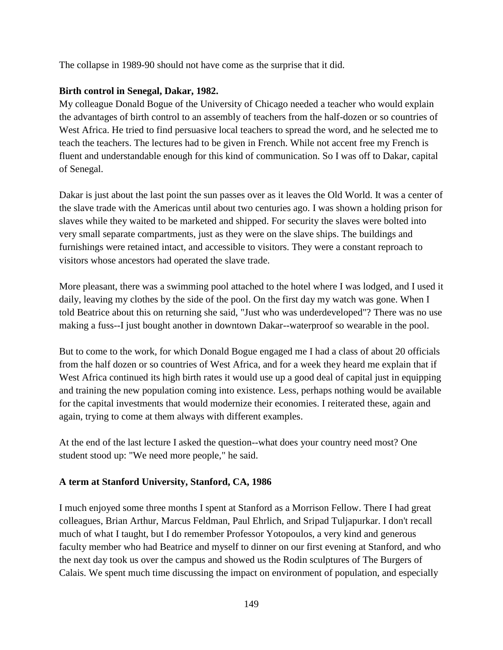The collapse in 1989-90 should not have come as the surprise that it did.

## **Birth control in Senegal, Dakar, 1982.**

My colleague Donald Bogue of the University of Chicago needed a teacher who would explain the advantages of birth control to an assembly of teachers from the half-dozen or so countries of West Africa. He tried to find persuasive local teachers to spread the word, and he selected me to teach the teachers. The lectures had to be given in French. While not accent free my French is fluent and understandable enough for this kind of communication. So I was off to Dakar, capital of Senegal.

Dakar is just about the last point the sun passes over as it leaves the Old World. It was a center of the slave trade with the Americas until about two centuries ago. I was shown a holding prison for slaves while they waited to be marketed and shipped. For security the slaves were bolted into very small separate compartments, just as they were on the slave ships. The buildings and furnishings were retained intact, and accessible to visitors. They were a constant reproach to visitors whose ancestors had operated the slave trade.

More pleasant, there was a swimming pool attached to the hotel where I was lodged, and I used it daily, leaving my clothes by the side of the pool. On the first day my watch was gone. When I told Beatrice about this on returning she said, "Just who was underdeveloped"? There was no use making a fuss--I just bought another in downtown Dakar--waterproof so wearable in the pool.

But to come to the work, for which Donald Bogue engaged me I had a class of about 20 officials from the half dozen or so countries of West Africa, and for a week they heard me explain that if West Africa continued its high birth rates it would use up a good deal of capital just in equipping and training the new population coming into existence. Less, perhaps nothing would be available for the capital investments that would modernize their economies. I reiterated these, again and again, trying to come at them always with different examples.

At the end of the last lecture I asked the question--what does your country need most? One student stood up: "We need more people," he said.

## **A term at Stanford University, Stanford, CA, 1986**

I much enjoyed some three months I spent at Stanford as a Morrison Fellow. There I had great colleagues, Brian Arthur, Marcus Feldman, Paul Ehrlich, and Sripad Tuljapurkar. I don't recall much of what I taught, but I do remember Professor Yotopoulos, a very kind and generous faculty member who had Beatrice and myself to dinner on our first evening at Stanford, and who the next day took us over the campus and showed us the Rodin sculptures of The Burgers of Calais. We spent much time discussing the impact on environment of population, and especially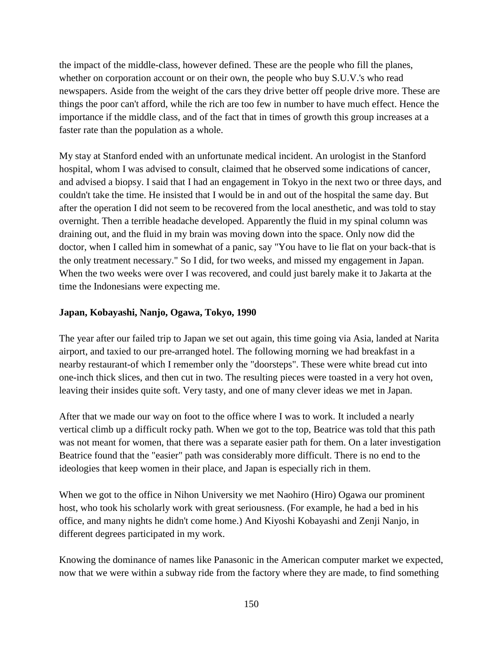the impact of the middle-class, however defined. These are the people who fill the planes, whether on corporation account or on their own, the people who buy S.U.V.'s who read newspapers. Aside from the weight of the cars they drive better off people drive more. These are things the poor can't afford, while the rich are too few in number to have much effect. Hence the importance if the middle class, and of the fact that in times of growth this group increases at a faster rate than the population as a whole.

My stay at Stanford ended with an unfortunate medical incident. An urologist in the Stanford hospital, whom I was advised to consult, claimed that he observed some indications of cancer, and advised a biopsy. I said that I had an engagement in Tokyo in the next two or three days, and couldn't take the time. He insisted that I would be in and out of the hospital the same day. But after the operation I did not seem to be recovered from the local anesthetic, and was told to stay overnight. Then a terrible headache developed. Apparently the fluid in my spinal column was draining out, and the fluid in my brain was moving down into the space. Only now did the doctor, when I called him in somewhat of a panic, say "You have to lie flat on your back-that is the only treatment necessary." So I did, for two weeks, and missed my engagement in Japan. When the two weeks were over I was recovered, and could just barely make it to Jakarta at the time the Indonesians were expecting me.

## **Japan, Kobayashi, Nanjo, Ogawa, Tokyo, 1990**

The year after our failed trip to Japan we set out again, this time going via Asia, landed at Narita airport, and taxied to our pre-arranged hotel. The following morning we had breakfast in a nearby restaurant-of which I remember only the "doorsteps". These were white bread cut into one-inch thick slices, and then cut in two. The resulting pieces were toasted in a very hot oven, leaving their insides quite soft. Very tasty, and one of many clever ideas we met in Japan.

After that we made our way on foot to the office where I was to work. It included a nearly vertical climb up a difficult rocky path. When we got to the top, Beatrice was told that this path was not meant for women, that there was a separate easier path for them. On a later investigation Beatrice found that the "easier" path was considerably more difficult. There is no end to the ideologies that keep women in their place, and Japan is especially rich in them.

When we got to the office in Nihon University we met Naohiro (Hiro) Ogawa our prominent host, who took his scholarly work with great seriousness. (For example, he had a bed in his office, and many nights he didn't come home.) And Kiyoshi Kobayashi and Zenji Nanjo, in different degrees participated in my work.

Knowing the dominance of names like Panasonic in the American computer market we expected, now that we were within a subway ride from the factory where they are made, to find something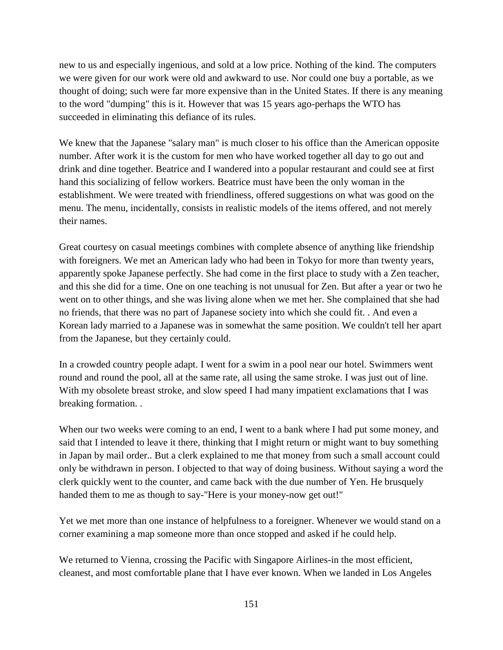new to us and especially ingenious, and sold at a low price. Nothing of the kind. The computers we were given for our work were old and awkward to use. Nor could one buy a portable, as we thought of doing; such were far more expensive than in the United States. If there is any meaning to the word "dumping" this is it. However that was 15 years ago-perhaps the WTO has succeeded in eliminating this defiance of its rules.

We knew that the Japanese "salary man" is much closer to his office than the American opposite number. After work it is the custom for men who have worked together all day to go out and drink and dine together. Beatrice and I wandered into a popular restaurant and could see at first hand this socializing of fellow workers. Beatrice must have been the only woman in the establishment. We were treated with friendliness, offered suggestions on what was good on the menu. The menu, incidentally, consists in realistic models of the items offered, and not merely their names.

Great courtesy on casual meetings combines with complete absence of anything like friendship with foreigners. We met an American lady who had been in Tokyo for more than twenty years, apparently spoke Japanese perfectly. She had come in the first place to study with a Zen teacher, and this she did for a time. One on one teaching is not unusual for Zen. But after a year or two he went on to other things, and she was living alone when we met her. She complained that she had no friends, that there was no part of Japanese society into which she could fit. . And even a Korean lady married to a Japanese was in somewhat the same position. We couldn't tell her apart from the Japanese, but they certainly could.

In a crowded country people adapt. I went for a swim in a pool near our hotel. Swimmers went round and round the pool, all at the same rate, all using the same stroke. I was just out of line. With my obsolete breast stroke, and slow speed I had many impatient exclamations that I was breaking formation. .

When our two weeks were coming to an end, I went to a bank where I had put some money, and said that I intended to leave it there, thinking that I might return or might want to buy something in Japan by mail order.. But a clerk explained to me that money from such a small account could only be withdrawn in person. I objected to that way of doing business. Without saying a word the clerk quickly went to the counter, and came back with the due number of Yen. He brusquely handed them to me as though to say-"Here is your money-now get out!"

Yet we met more than one instance of helpfulness to a foreigner. Whenever we would stand on a corner examining a map someone more than once stopped and asked if he could help.

We returned to Vienna, crossing the Pacific with Singapore Airlines-in the most efficient, cleanest, and most comfortable plane that I have ever known. When we landed in Los Angeles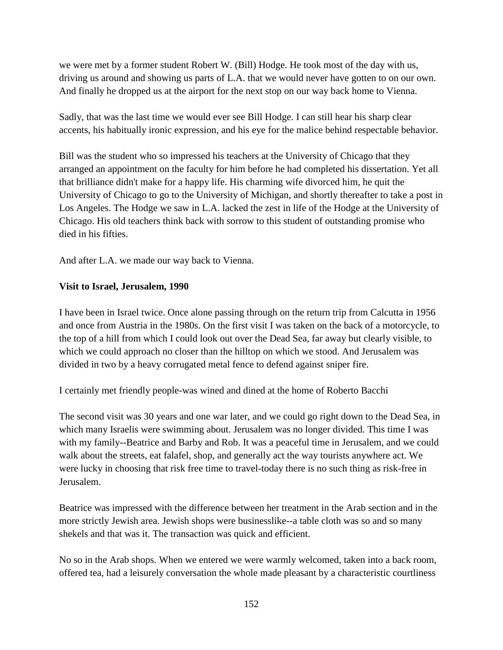we were met by a former student Robert W. (Bill) Hodge. He took most of the day with us, driving us around and showing us parts of L.A. that we would never have gotten to on our own. And finally he dropped us at the airport for the next stop on our way back home to Vienna.

Sadly, that was the last time we would ever see Bill Hodge. I can still hear his sharp clear accents, his habitually ironic expression, and his eye for the malice behind respectable behavior.

Bill was the student who so impressed his teachers at the University of Chicago that they arranged an appointment on the faculty for him before he had completed his dissertation. Yet all that brilliance didn't make for a happy life. His charming wife divorced him, he quit the University of Chicago to go to the University of Michigan, and shortly thereafter to take a post in Los Angeles. The Hodge we saw in L.A. lacked the zest in life of the Hodge at the University of Chicago. His old teachers think back with sorrow to this student of outstanding promise who died in his fifties.

And after L.A. we made our way back to Vienna.

## **Visit to Israel, Jerusalem, 1990**

I have been in Israel twice. Once alone passing through on the return trip from Calcutta in 1956 and once from Austria in the 1980s. On the first visit I was taken on the back of a motorcycle, to the top of a hill from which I could look out over the Dead Sea, far away but clearly visible, to which we could approach no closer than the hilltop on which we stood. And Jerusalem was divided in two by a heavy corrugated metal fence to defend against sniper fire.

I certainly met friendly people-was wined and dined at the home of Roberto Bacchi

The second visit was 30 years and one war later, and we could go right down to the Dead Sea, in which many Israelis were swimming about. Jerusalem was no longer divided. This time I was with my family--Beatrice and Barby and Rob. It was a peaceful time in Jerusalem, and we could walk about the streets, eat falafel, shop, and generally act the way tourists anywhere act. We were lucky in choosing that risk free time to travel-today there is no such thing as risk-free in Jerusalem.

Beatrice was impressed with the difference between her treatment in the Arab section and in the more strictly Jewish area. Jewish shops were businesslike--a table cloth was so and so many shekels and that was it. The transaction was quick and efficient.

No so in the Arab shops. When we entered we were warmly welcomed, taken into a back room, offered tea, had a leisurely conversation the whole made pleasant by a characteristic courtliness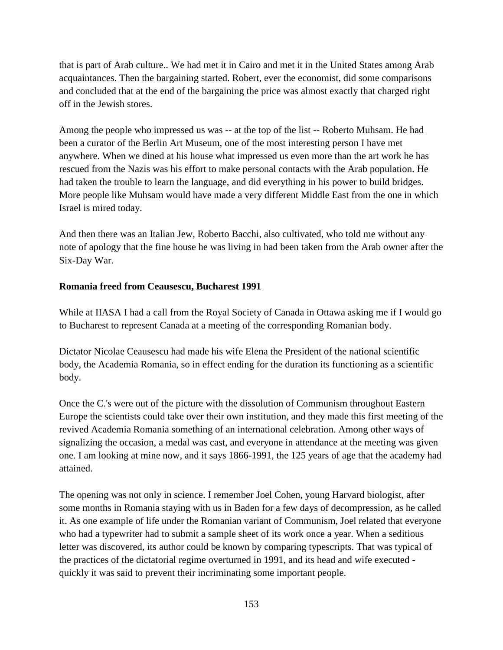that is part of Arab culture.. We had met it in Cairo and met it in the United States among Arab acquaintances. Then the bargaining started. Robert, ever the economist, did some comparisons and concluded that at the end of the bargaining the price was almost exactly that charged right off in the Jewish stores.

Among the people who impressed us was -- at the top of the list -- Roberto Muhsam. He had been a curator of the Berlin Art Museum, one of the most interesting person I have met anywhere. When we dined at his house what impressed us even more than the art work he has rescued from the Nazis was his effort to make personal contacts with the Arab population. He had taken the trouble to learn the language, and did everything in his power to build bridges. More people like Muhsam would have made a very different Middle East from the one in which Israel is mired today.

And then there was an Italian Jew, Roberto Bacchi, also cultivated, who told me without any note of apology that the fine house he was living in had been taken from the Arab owner after the Six-Day War.

## **Romania freed from Ceausescu, Bucharest 1991**

While at IIASA I had a call from the Royal Society of Canada in Ottawa asking me if I would go to Bucharest to represent Canada at a meeting of the corresponding Romanian body.

Dictator Nicolae Ceausescu had made his wife Elena the President of the national scientific body, the Academia Romania, so in effect ending for the duration its functioning as a scientific body.

Once the C.'s were out of the picture with the dissolution of Communism throughout Eastern Europe the scientists could take over their own institution, and they made this first meeting of the revived Academia Romania something of an international celebration. Among other ways of signalizing the occasion, a medal was cast, and everyone in attendance at the meeting was given one. I am looking at mine now, and it says 1866-1991, the 125 years of age that the academy had attained.

The opening was not only in science. I remember Joel Cohen, young Harvard biologist, after some months in Romania staying with us in Baden for a few days of decompression, as he called it. As one example of life under the Romanian variant of Communism, Joel related that everyone who had a typewriter had to submit a sample sheet of its work once a year. When a seditious letter was discovered, its author could be known by comparing typescripts. That was typical of the practices of the dictatorial regime overturned in 1991, and its head and wife executed quickly it was said to prevent their incriminating some important people.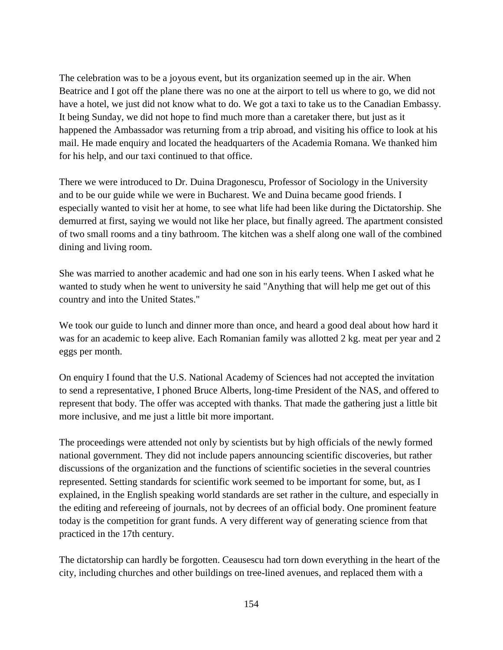The celebration was to be a joyous event, but its organization seemed up in the air. When Beatrice and I got off the plane there was no one at the airport to tell us where to go, we did not have a hotel, we just did not know what to do. We got a taxi to take us to the Canadian Embassy. It being Sunday, we did not hope to find much more than a caretaker there, but just as it happened the Ambassador was returning from a trip abroad, and visiting his office to look at his mail. He made enquiry and located the headquarters of the Academia Romana. We thanked him for his help, and our taxi continued to that office.

There we were introduced to Dr. Duina Dragonescu, Professor of Sociology in the University and to be our guide while we were in Bucharest. We and Duina became good friends. I especially wanted to visit her at home, to see what life had been like during the Dictatorship. She demurred at first, saying we would not like her place, but finally agreed. The apartment consisted of two small rooms and a tiny bathroom. The kitchen was a shelf along one wall of the combined dining and living room.

She was married to another academic and had one son in his early teens. When I asked what he wanted to study when he went to university he said "Anything that will help me get out of this country and into the United States."

We took our guide to lunch and dinner more than once, and heard a good deal about how hard it was for an academic to keep alive. Each Romanian family was allotted 2 kg. meat per year and 2 eggs per month.

On enquiry I found that the U.S. National Academy of Sciences had not accepted the invitation to send a representative, I phoned Bruce Alberts, long-time President of the NAS, and offered to represent that body. The offer was accepted with thanks. That made the gathering just a little bit more inclusive, and me just a little bit more important.

The proceedings were attended not only by scientists but by high officials of the newly formed national government. They did not include papers announcing scientific discoveries, but rather discussions of the organization and the functions of scientific societies in the several countries represented. Setting standards for scientific work seemed to be important for some, but, as I explained, in the English speaking world standards are set rather in the culture, and especially in the editing and refereeing of journals, not by decrees of an official body. One prominent feature today is the competition for grant funds. A very different way of generating science from that practiced in the 17th century.

The dictatorship can hardly be forgotten. Ceausescu had torn down everything in the heart of the city, including churches and other buildings on tree-lined avenues, and replaced them with a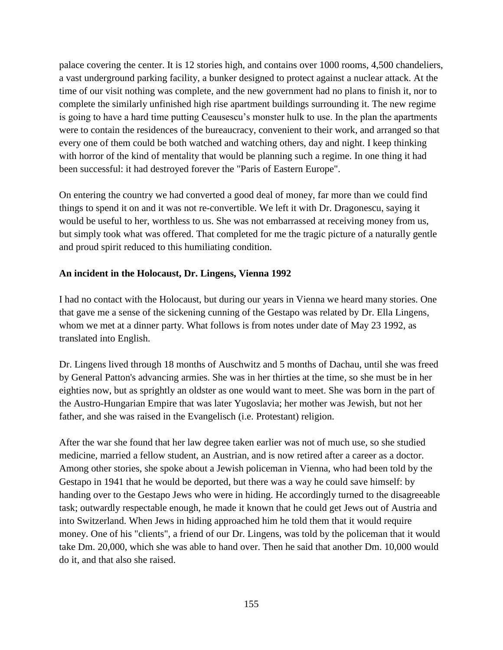palace covering the center. It is 12 stories high, and contains over 1000 rooms, 4,500 chandeliers, a vast underground parking facility, a bunker designed to protect against a nuclear attack. At the time of our visit nothing was complete, and the new government had no plans to finish it, nor to complete the similarly unfinished high rise apartment buildings surrounding it. The new regime is going to have a hard time putting Ceausescu's monster hulk to use. In the plan the apartments were to contain the residences of the bureaucracy, convenient to their work, and arranged so that every one of them could be both watched and watching others, day and night. I keep thinking with horror of the kind of mentality that would be planning such a regime. In one thing it had been successful: it had destroyed forever the "Paris of Eastern Europe".

On entering the country we had converted a good deal of money, far more than we could find things to spend it on and it was not re-convertible. We left it with Dr. Dragonescu, saying it would be useful to her, worthless to us. She was not embarrassed at receiving money from us, but simply took what was offered. That completed for me the tragic picture of a naturally gentle and proud spirit reduced to this humiliating condition.

## **An incident in the Holocaust, Dr. Lingens, Vienna 1992**

I had no contact with the Holocaust, but during our years in Vienna we heard many stories. One that gave me a sense of the sickening cunning of the Gestapo was related by Dr. Ella Lingens, whom we met at a dinner party. What follows is from notes under date of May 23 1992, as translated into English.

Dr. Lingens lived through 18 months of Auschwitz and 5 months of Dachau, until she was freed by General Patton's advancing armies. She was in her thirties at the time, so she must be in her eighties now, but as sprightly an oldster as one would want to meet. She was born in the part of the Austro-Hungarian Empire that was later Yugoslavia; her mother was Jewish, but not her father, and she was raised in the Evangelisch (i.e. Protestant) religion.

After the war she found that her law degree taken earlier was not of much use, so she studied medicine, married a fellow student, an Austrian, and is now retired after a career as a doctor. Among other stories, she spoke about a Jewish policeman in Vienna, who had been told by the Gestapo in 1941 that he would be deported, but there was a way he could save himself: by handing over to the Gestapo Jews who were in hiding. He accordingly turned to the disagreeable task; outwardly respectable enough, he made it known that he could get Jews out of Austria and into Switzerland. When Jews in hiding approached him he told them that it would require money. One of his "clients", a friend of our Dr. Lingens, was told by the policeman that it would take Dm. 20,000, which she was able to hand over. Then he said that another Dm. 10,000 would do it, and that also she raised.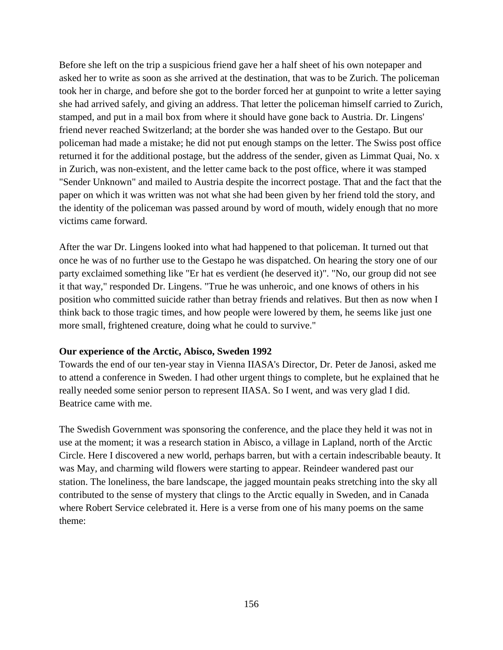Before she left on the trip a suspicious friend gave her a half sheet of his own notepaper and asked her to write as soon as she arrived at the destination, that was to be Zurich. The policeman took her in charge, and before she got to the border forced her at gunpoint to write a letter saying she had arrived safely, and giving an address. That letter the policeman himself carried to Zurich, stamped, and put in a mail box from where it should have gone back to Austria. Dr. Lingens' friend never reached Switzerland; at the border she was handed over to the Gestapo. But our policeman had made a mistake; he did not put enough stamps on the letter. The Swiss post office returned it for the additional postage, but the address of the sender, given as Limmat Quai, No. x in Zurich, was non-existent, and the letter came back to the post office, where it was stamped "Sender Unknown" and mailed to Austria despite the incorrect postage. That and the fact that the paper on which it was written was not what she had been given by her friend told the story, and the identity of the policeman was passed around by word of mouth, widely enough that no more victims came forward.

After the war Dr. Lingens looked into what had happened to that policeman. It turned out that once he was of no further use to the Gestapo he was dispatched. On hearing the story one of our party exclaimed something like "Er hat es verdient (he deserved it)". "No, our group did not see it that way," responded Dr. Lingens. "True he was unheroic, and one knows of others in his position who committed suicide rather than betray friends and relatives. But then as now when I think back to those tragic times, and how people were lowered by them, he seems like just one more small, frightened creature, doing what he could to survive."

#### **Our experience of the Arctic, Abisco, Sweden 1992**

Towards the end of our ten-year stay in Vienna IIASA's Director, Dr. Peter de Janosi, asked me to attend a conference in Sweden. I had other urgent things to complete, but he explained that he really needed some senior person to represent IIASA. So I went, and was very glad I did. Beatrice came with me.

The Swedish Government was sponsoring the conference, and the place they held it was not in use at the moment; it was a research station in Abisco, a village in Lapland, north of the Arctic Circle. Here I discovered a new world, perhaps barren, but with a certain indescribable beauty. It was May, and charming wild flowers were starting to appear. Reindeer wandered past our station. The loneliness, the bare landscape, the jagged mountain peaks stretching into the sky all contributed to the sense of mystery that clings to the Arctic equally in Sweden, and in Canada where Robert Service celebrated it. Here is a verse from one of his many poems on the same theme: